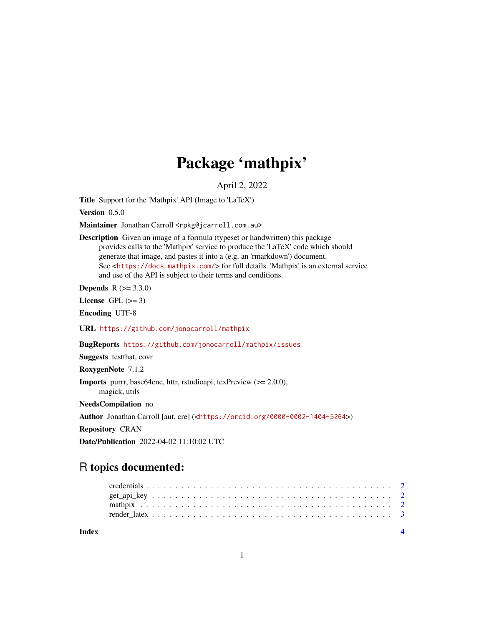## Package 'mathpix'

April 2, 2022

<span id="page-0-0"></span>Title Support for the 'Mathpix' API (Image to 'LaTeX')

Version 0.5.0

Maintainer Jonathan Carroll <rpkg@jcarroll.com.au>

Description Given an image of a formula (typeset or handwritten) this package provides calls to the 'Mathpix' service to produce the 'LaTeX' code which should generate that image, and pastes it into a (e.g. an 'rmarkdown') document. See <<https://docs.mathpix.com/>> for full details. 'Mathpix' is an external service and use of the API is subject to their terms and conditions.

**Depends**  $R (= 3.3.0)$ 

License GPL  $(>= 3)$ 

Encoding UTF-8

URL <https://github.com/jonocarroll/mathpix>

BugReports <https://github.com/jonocarroll/mathpix/issues>

Suggests testthat, covr

RoxygenNote 7.1.2

Imports purrr, base64enc, httr, rstudioapi, texPreview (>= 2.0.0), magick, utils

NeedsCompilation no

Author Jonathan Carroll [aut, cre] (<<https://orcid.org/0000-0002-1404-5264>>)

Repository CRAN

Date/Publication 2022-04-02 11:10:02 UTC

### R topics documented:

**Index** [4](#page-3-0)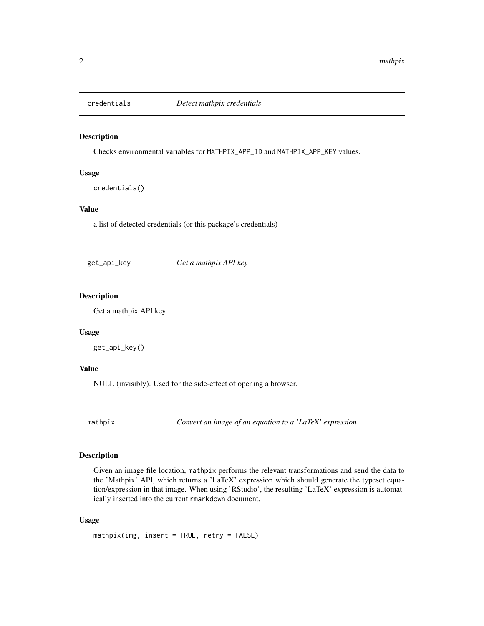<span id="page-1-0"></span>

#### Description

Checks environmental variables for MATHPIX\_APP\_ID and MATHPIX\_APP\_KEY values.

#### Usage

credentials()

#### Value

a list of detected credentials (or this package's credentials)

get\_api\_key *Get a mathpix API key*

#### Description

Get a mathpix API key

#### Usage

get\_api\_key()

#### Value

NULL (invisibly). Used for the side-effect of opening a browser.

mathpix *Convert an image of an equation to a 'LaTeX' expression*

#### Description

Given an image file location, mathpix performs the relevant transformations and send the data to the 'Mathpix' API, which returns a 'LaTeX' expression which should generate the typeset equation/expression in that image. When using 'RStudio', the resulting 'LaTeX' expression is automatically inserted into the current rmarkdown document.

#### Usage

mathpix(img, insert = TRUE, retry = FALSE)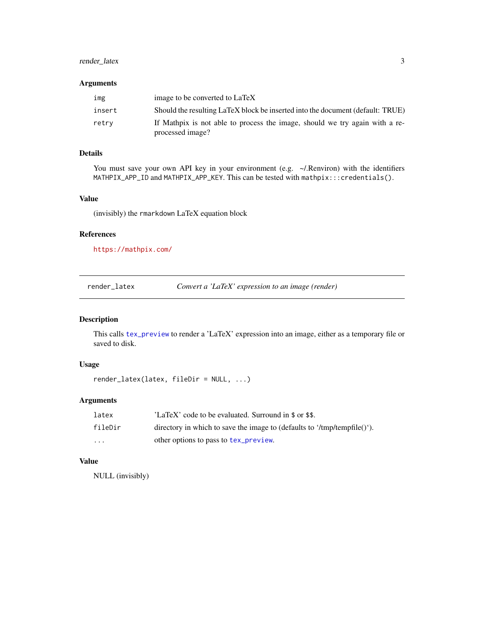#### <span id="page-2-0"></span>render\_latex 3

#### Arguments

| img    | image to be converted to LaTeX                                                                  |
|--------|-------------------------------------------------------------------------------------------------|
| insert | Should the resulting LaTeX block be inserted into the document (default: TRUE)                  |
| retrv  | If Mathpix is not able to process the image, should we try again with a re-<br>processed image? |

#### Details

You must save your own API key in your environment (e.g. ~/.Renviron) with the identifiers MATHPIX\_APP\_ID and MATHPIX\_APP\_KEY. This can be tested with mathpix:::credentials().

#### Value

(invisibly) the rmarkdown LaTeX equation block

#### References

<https://mathpix.com/>

render\_latex *Convert a 'LaTeX' expression to an image (render)*

#### Description

This calls [tex\\_preview](#page-0-0) to render a 'LaTeX' expression into an image, either as a temporary file or saved to disk.

#### Usage

render\_latex(latex, fileDir = NULL, ...)

#### Arguments

| latex    | 'LaTeX' code to be evaluated. Surround in \$ or \$\$.                    |
|----------|--------------------------------------------------------------------------|
| fileDir  | directory in which to save the image to (defaults to '/tmp/tempfile()'). |
| $\cdots$ | other options to pass to tex_preview.                                    |

#### Value

NULL (invisibly)